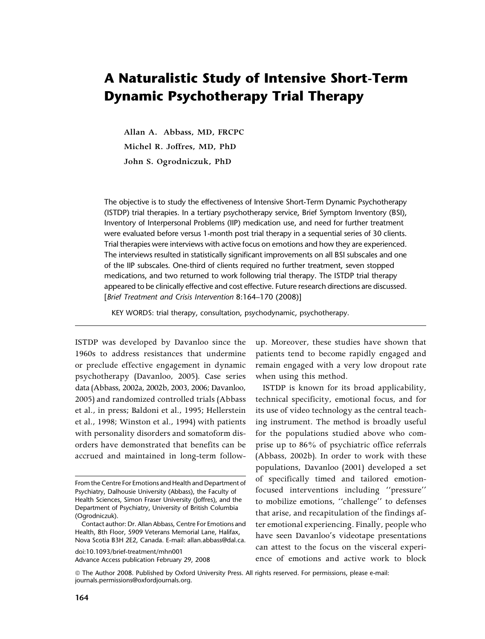# A Naturalistic Study of Intensive Short-Term Dynamic Psychotherapy Trial Therapy

**Allan A. Abbass, MD, FRCPC Michel R. Joffres, MD, PhD John S. Ogrodniczuk, PhD**

The objective is to study the effectiveness of Intensive Short-Term Dynamic Psychotherapy (ISTDP) trial therapies. In a tertiary psychotherapy service, Brief Symptom Inventory (BSI), Inventory of Interpersonal Problems (IIP) medication use, and need for further treatment were evaluated before versus 1-month post trial therapy in a sequential series of 30 clients. Trial therapies were interviews with active focus on emotions and how they are experienced. The interviews resulted in statistically significant improvements on all BSI subscales and one of the IIP subscales. One-third of clients required no further treatment, seven stopped medications, and two returned to work following trial therapy. The ISTDP trial therapy appeared to be clinically effective and cost effective. Future research directions are discussed. [Brief Treatment and Crisis Intervention 8:164–170 (2008)]

KEY WORDS: trial therapy, consultation, psychodynamic, psychotherapy.

ISTDP was developed by Davanloo since the 1960s to address resistances that undermine or preclude effective engagement in dynamic psychotherapy (Davanloo, 2005). Case series data (Abbass, 2002a, 2002b, 2003, 2006; Davanloo, 2005) and randomized controlled trials (Abbass et al., in press; Baldoni et al., 1995; Hellerstein et al., 1998; Winston et al., 1994) with patients with personality disorders and somatoform disorders have demonstrated that benefits can be accrued and maintained in long-term follow-

doi:10.1093/brief-treatment/mhn001 Advance Access publication February 29, 2008 up. Moreover, these studies have shown that patients tend to become rapidly engaged and remain engaged with a very low dropout rate when using this method.

ISTDP is known for its broad applicability, technical specificity, emotional focus, and for its use of video technology as the central teaching instrument. The method is broadly useful for the populations studied above who comprise up to 86% of psychiatric office referrals (Abbass, 2002b). In order to work with these populations, Davanloo (2001) developed a set of specifically timed and tailored emotionfocused interventions including ''pressure'' to mobilize emotions, ''challenge'' to defenses that arise, and recapitulation of the findings after emotional experiencing. Finally, people who have seen Davanloo's videotape presentations can attest to the focus on the visceral experience of emotions and active work to block

From the Centre For Emotions and Health and Department of Psychiatry, Dalhousie University (Abbass), the Faculty of Health Sciences, Simon Fraser University (Joffres), and the Department of Psychiatry, University of British Columbia (Ogrodniczuk).

Contact author: Dr. Allan Abbass, Centre For Emotions and Health, 8th Floor, 5909 Veterans Memorial Lane, Halifax, Nova Scotia B3H 2E2, Canada. E-mail: allan.abbass@dal.ca.

*ª* The Author 2008. Published by Oxford University Press. All rights reserved. For permissions, please e-mail: journals.permissions@oxfordjournals.org.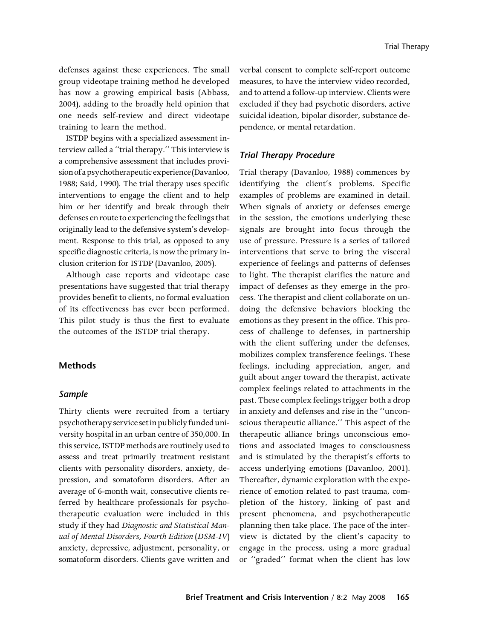defenses against these experiences. The small group videotape training method he developed has now a growing empirical basis (Abbass, 2004), adding to the broadly held opinion that one needs self-review and direct videotape training to learn the method.

ISTDP begins with a specialized assessment interview called a ''trial therapy.'' This interview is a comprehensive assessment that includes provision of a psychotherapeutic experience (Davanloo, 1988; Said, 1990). The trial therapy uses specific interventions to engage the client and to help him or her identify and break through their defenses en route to experiencing the feelings that originally lead to the defensive system's development. Response to this trial, as opposed to any specific diagnostic criteria, is now the primary inclusion criterion for ISTDP (Davanloo, 2005).

Although case reports and videotape case presentations have suggested that trial therapy provides benefit to clients, no formal evaluation of its effectiveness has ever been performed. This pilot study is thus the first to evaluate the outcomes of the ISTDP trial therapy.

# Methods

#### Sample

Thirty clients were recruited from a tertiary psychotherapyservicesetinpublicly fundeduniversity hospital in an urban centre of 350,000. In this service, ISTDP methods are routinely used to assess and treat primarily treatment resistant clients with personality disorders, anxiety, depression, and somatoform disorders. After an average of 6-month wait, consecutive clients referred by healthcare professionals for psychotherapeutic evaluation were included in this study if they had *Diagnostic and Statistical Manual of Mental Disorders, Fourth Edition* (*DSM-IV*) anxiety, depressive, adjustment, personality, or somatoform disorders. Clients gave written and

verbal consent to complete self-report outcome measures, to have the interview video recorded, and to attend a follow-up interview. Clients were excluded if they had psychotic disorders, active suicidal ideation, bipolar disorder, substance dependence, or mental retardation.

# Trial Therapy Procedure

Trial therapy (Davanloo, 1988) commences by identifying the client's problems. Specific examples of problems are examined in detail. When signals of anxiety or defenses emerge in the session, the emotions underlying these signals are brought into focus through the use of pressure. Pressure is a series of tailored interventions that serve to bring the visceral experience of feelings and patterns of defenses to light. The therapist clarifies the nature and impact of defenses as they emerge in the process. The therapist and client collaborate on undoing the defensive behaviors blocking the emotions as they present in the office. This process of challenge to defenses, in partnership with the client suffering under the defenses, mobilizes complex transference feelings. These feelings, including appreciation, anger, and guilt about anger toward the therapist, activate complex feelings related to attachments in the past. These complex feelings trigger both a drop in anxiety and defenses and rise in the ''unconscious therapeutic alliance.'' This aspect of the therapeutic alliance brings unconscious emotions and associated images to consciousness and is stimulated by the therapist's efforts to access underlying emotions (Davanloo, 2001). Thereafter, dynamic exploration with the experience of emotion related to past trauma, completion of the history, linking of past and present phenomena, and psychotherapeutic planning then take place. The pace of the interview is dictated by the client's capacity to engage in the process, using a more gradual or ''graded'' format when the client has low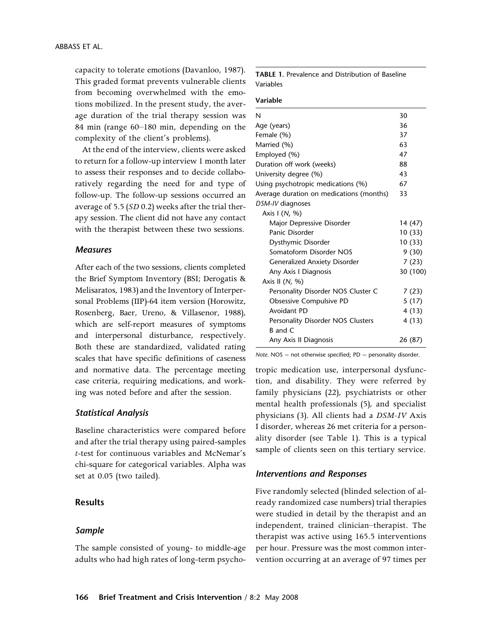capacity to tolerate emotions (Davanloo, 1987). This graded format prevents vulnerable clients from becoming overwhelmed with the emotions mobilized. In the present study, the average duration of the trial therapy session was 84 min (range 60–180 min, depending on the complexity of the client's problems).

At the end of the interview, clients were asked to return for a follow-up interview 1 month later to assess their responses and to decide collaboratively regarding the need for and type of follow-up. The follow-up sessions occurred an average of 5.5 (*SD* 0.2) weeks after the trial therapy session. The client did not have any contact with the therapist between these two sessions.

## **Measures**

After each of the two sessions, clients completed the Brief Symptom Inventory (BSI; Derogatis & Melisaratos, 1983) and the Inventory of Interpersonal Problems (IIP)-64 item version (Horowitz, Rosenberg, Baer, Ureno, & Villasenor, 1988), which are self-report measures of symptoms and interpersonal disturbance, respectively. Both these are standardized, validated rating scales that have specific definitions of caseness and normative data. The percentage meeting case criteria, requiring medications, and working was noted before and after the session.

#### Statistical Analysis

Baseline characteristics were compared before and after the trial therapy using paired-samples *t*-test for continuous variables and McNemar's chi-square for categorical variables. Alpha was set at 0.05 (two tailed).

# Results

#### Sample

The sample consisted of young- to middle-age adults who had high rates of long-term psychoTABLE 1. Prevalence and Distribution of Baseline Variables

#### Variable

| N                                        | 30       |
|------------------------------------------|----------|
| Age (years)                              | 36       |
| Female (%)                               | 37       |
| Married (%)                              | 63       |
| Employed (%)                             | 47       |
| Duration off work (weeks)                | 88       |
| University degree (%)                    | 43       |
| Using psychotropic medications (%)       | 67       |
| Average duration on medications (months) | 33       |
| DSM-IV diagnoses                         |          |
| Axis I (N, %)                            |          |
| Major Depressive Disorder                | 14 (47)  |
| Panic Disorder                           | 10(33)   |
| Dysthymic Disorder                       | 10(33)   |
| Somatoform Disorder NOS                  | 9 (30)   |
| <b>Generalized Anxiety Disorder</b>      | 7(23)    |
| Any Axis I Diagnosis                     | 30 (100) |
| Axis II $(N, %)$                         |          |
| Personality Disorder NOS Cluster C       | 7 (23)   |
| Obsessive Compulsive PD                  | 5(17)    |
| Avoidant PD                              | 4 (13)   |
| Personality Disorder NOS Clusters        | 4 (13)   |
| B and C                                  |          |
| Any Axis II Diagnosis                    | 26 (87)  |
|                                          |          |

Note.  $NOS = not$  otherwise specified;  $PD =$  personality disorder.

tropic medication use, interpersonal dysfunction, and disability. They were referred by family physicians (22), psychiatrists or other mental health professionals (5), and specialist physicians (3). All clients had a *DSM-IV* Axis I disorder, whereas 26 met criteria for a personality disorder (see Table 1). This is a typical sample of clients seen on this tertiary service.

#### Interventions and Responses

Five randomly selected (blinded selection of already randomized case numbers) trial therapies were studied in detail by the therapist and an independent, trained clinician–therapist. The therapist was active using 165.5 interventions per hour. Pressure was the most common intervention occurring at an average of 97 times per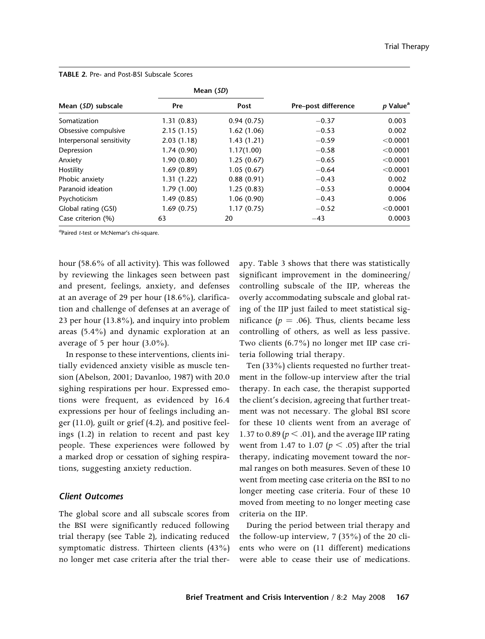|                           | Mean (SD)  |            |                     |                      |
|---------------------------|------------|------------|---------------------|----------------------|
| Mean (SD) subscale        | Pre        | Post       | Pre-post difference | p Value <sup>a</sup> |
| Somatization              | 1.31(0.83) | 0.94(0.75) | $-0.37$             | 0.003                |
| Obsessive compulsive      | 2.15(1.15) | 1.62(1.06) | $-0.53$             | 0.002                |
| Interpersonal sensitivity | 2.03(1.18) | 1.43(1.21) | $-0.59$             | < 0.0001             |
| Depression                | 1.74(0.90) | 1.17(1.00) | $-0.58$             | < 0.0001             |
| Anxiety                   | 1.90(0.80) | 1.25(0.67) | $-0.65$             | < 0.0001             |
| Hostility                 | 1.69(0.89) | 1.05(0.67) | $-0.64$             | < 0.0001             |
| Phobic anxiety            | 1.31(1.22) | 0.88(0.91) | $-0.43$             | 0.002                |
| Paranoid ideation         | 1.79(1.00) | 1.25(0.83) | $-0.53$             | 0.0004               |
| Psychoticism              | 1.49(0.85) | 1.06(0.90) | $-0.43$             | 0.006                |
| Global rating (GSI)       | 1.69(0.75) | 1.17(0.75) | $-0.52$             | < 0.0001             |
| Case criterion (%)        | 63         | 20         | $-43$               | 0.0003               |

TABLE 2. Pre- and Post-BSI Subscale Scores

<sup>a</sup>Paired t-test or McNemar's chi-square.

hour (58.6% of all activity). This was followed by reviewing the linkages seen between past and present, feelings, anxiety, and defenses at an average of 29 per hour (18.6%), clarification and challenge of defenses at an average of 23 per hour (13.8%), and inquiry into problem areas (5.4%) and dynamic exploration at an average of 5 per hour (3.0%).

In response to these interventions, clients initially evidenced anxiety visible as muscle tension (Abelson, 2001; Davanloo, 1987) with 20.0 sighing respirations per hour. Expressed emotions were frequent, as evidenced by 16.4 expressions per hour of feelings including anger (11.0), guilt or grief (4.2), and positive feelings (1.2) in relation to recent and past key people. These experiences were followed by a marked drop or cessation of sighing respirations, suggesting anxiety reduction.

## Client Outcomes

The global score and all subscale scores from the BSI were significantly reduced following trial therapy (see Table 2), indicating reduced symptomatic distress. Thirteen clients (43%) no longer met case criteria after the trial ther-

apy. Table 3 shows that there was statistically significant improvement in the domineering/ controlling subscale of the IIP, whereas the overly accommodating subscale and global rating of the IIP just failed to meet statistical significance ( $p = .06$ ). Thus, clients became less controlling of others, as well as less passive. Two clients (6.7%) no longer met IIP case criteria following trial therapy.

Ten (33%) clients requested no further treatment in the follow-up interview after the trial therapy. In each case, the therapist supported the client's decision, agreeing that further treatment was not necessary. The global BSI score for these 10 clients went from an average of 1.37 to 0.89 ( $p < .01$ ), and the average IIP rating went from 1.47 to 1.07 ( $p < .05$ ) after the trial therapy, indicating movement toward the normal ranges on both measures. Seven of these 10 went from meeting case criteria on the BSI to no longer meeting case criteria. Four of these 10 moved from meeting to no longer meeting case criteria on the IIP.

During the period between trial therapy and the follow-up interview, 7 (35%) of the 20 clients who were on (11 different) medications were able to cease their use of medications.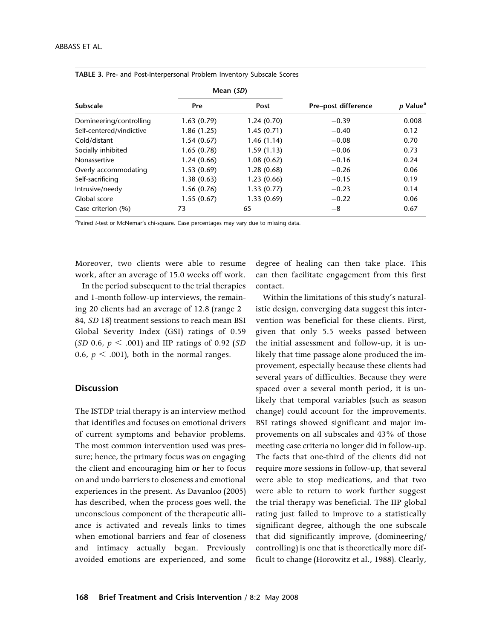|                          | Mean (SD)   |            |                     |                      |
|--------------------------|-------------|------------|---------------------|----------------------|
| <b>Subscale</b>          | Pre         | Post       | Pre-post difference | p Value <sup>a</sup> |
| Domineering/controlling  | 1.63(0.79)  | 1.24(0.70) | $-0.39$             | 0.008                |
| Self-centered/vindictive | 1.86 (1.25) | 1.45(0.71) | $-0.40$             | 0.12                 |
| Cold/distant             | 1.54(0.67)  | 1.46(1.14) | $-0.08$             | 0.70                 |
| Socially inhibited       | 1.65(0.78)  | 1.59(1.13) | $-0.06$             | 0.73                 |
| Nonassertive             | 1.24(0.66)  | 1.08(0.62) | $-0.16$             | 0.24                 |
| Overly accommodating     | 1.53(0.69)  | 1.28(0.68) | $-0.26$             | 0.06                 |
| Self-sacrificing         | 1.38(0.63)  | 1.23(0.66) | $-0.15$             | 0.19                 |
| Intrusive/needy          | 1.56(0.76)  | 1.33(0.77) | $-0.23$             | 0.14                 |
| Global score             | 1.55(0.67)  | 1.33(0.69) | $-0.22$             | 0.06                 |
| Case criterion (%)       | 73          | 65         | $-8$                | 0.67                 |

| <b>TABLE 3.</b> Pre- and Post-Interpersonal Problem Inventory Subscale Scores |  |  |  |
|-------------------------------------------------------------------------------|--|--|--|
|-------------------------------------------------------------------------------|--|--|--|

<sup>a</sup>Paired t-test or McNemar's chi-square. Case percentages may vary due to missing data.

Moreover, two clients were able to resume work, after an average of 15.0 weeks off work.

In the period subsequent to the trial therapies and 1-month follow-up interviews, the remaining 20 clients had an average of 12.8 (range 2– 84, *SD* 18) treatment sessions to reach mean BSI Global Severity Index (GSI) ratings of 0.59 (*SD* 0.6, *p* , .001) and IIP ratings of 0.92 (*SD* 0.6,  $p < .001$ ), both in the normal ranges.

# **Discussion**

The ISTDP trial therapy is an interview method that identifies and focuses on emotional drivers of current symptoms and behavior problems. The most common intervention used was pressure; hence, the primary focus was on engaging the client and encouraging him or her to focus on and undo barriers to closeness and emotional experiences in the present. As Davanloo (2005) has described, when the process goes well, the unconscious component of the therapeutic alliance is activated and reveals links to times when emotional barriers and fear of closeness and intimacy actually began. Previously avoided emotions are experienced, and some

degree of healing can then take place. This can then facilitate engagement from this first contact.

Within the limitations of this study's naturalistic design, converging data suggest this intervention was beneficial for these clients. First, given that only 5.5 weeks passed between the initial assessment and follow-up, it is unlikely that time passage alone produced the improvement, especially because these clients had several years of difficulties. Because they were spaced over a several month period, it is unlikely that temporal variables (such as season change) could account for the improvements. BSI ratings showed significant and major improvements on all subscales and 43% of those meeting case criteria no longer did in follow-up. The facts that one-third of the clients did not require more sessions in follow-up, that several were able to stop medications, and that two were able to return to work further suggest the trial therapy was beneficial. The IIP global rating just failed to improve to a statistically significant degree, although the one subscale that did significantly improve, (domineering/ controlling) is one that is theoretically more difficult to change (Horowitz et al., 1988). Clearly,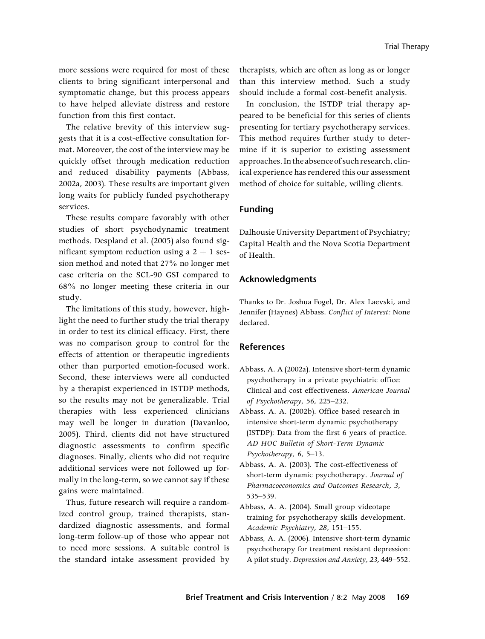more sessions were required for most of these clients to bring significant interpersonal and symptomatic change, but this process appears to have helped alleviate distress and restore function from this first contact.

The relative brevity of this interview suggests that it is a cost-effective consultation format. Moreover, the cost of the interview may be quickly offset through medication reduction and reduced disability payments (Abbass, 2002a, 2003). These results are important given long waits for publicly funded psychotherapy services.

These results compare favorably with other studies of short psychodynamic treatment methods. Despland et al. (2005) also found significant symptom reduction using a  $2 + 1$  session method and noted that 27% no longer met case criteria on the SCL-90 GSI compared to 68% no longer meeting these criteria in our study.

The limitations of this study, however, highlight the need to further study the trial therapy in order to test its clinical efficacy. First, there was no comparison group to control for the effects of attention or therapeutic ingredients other than purported emotion-focused work. Second, these interviews were all conducted by a therapist experienced in ISTDP methods, so the results may not be generalizable. Trial therapies with less experienced clinicians may well be longer in duration (Davanloo, 2005). Third, clients did not have structured diagnostic assessments to confirm specific diagnoses. Finally, clients who did not require additional services were not followed up formally in the long-term, so we cannot say if these gains were maintained.

Thus, future research will require a randomized control group, trained therapists, standardized diagnostic assessments, and formal long-term follow-up of those who appear not to need more sessions. A suitable control is the standard intake assessment provided by therapists, which are often as long as or longer than this interview method. Such a study should include a formal cost-benefit analysis.

In conclusion, the ISTDP trial therapy appeared to be beneficial for this series of clients presenting for tertiary psychotherapy services. This method requires further study to determine if it is superior to existing assessment approaches. In the absenceof such research, clinical experience has rendered this our assessment method of choice for suitable, willing clients.

# Funding

Dalhousie University Department of Psychiatry; Capital Health and the Nova Scotia Department of Health.

# Acknowledgments

Thanks to Dr. Joshua Fogel, Dr. Alex Laevski, and Jennifer (Haynes) Abbass. *Conflict of Interest:* None declared.

#### References

- Abbass, A. A (2002a). Intensive short-term dynamic psychotherapy in a private psychiatric office: Clinical and cost effectiveness. *American Journal of Psychotherapy, 56,* 225–232.
- Abbass, A. A. (2002b). Office based research in intensive short-term dynamic psychotherapy (ISTDP): Data from the first 6 years of practice. *AD HOC Bulletin of Short-Term Dynamic Psychotherapy, 6,* 5–13.
- Abbass, A. A. (2003). The cost-effectiveness of short-term dynamic psychotherapy. *Journal of Pharmacoeconomics and Outcomes Research, 3,* 535–539.
- Abbass, A. A. (2004). Small group videotape training for psychotherapy skills development. *Academic Psychiatry, 28,* 151–155.
- Abbass, A. A. (2006). Intensive short-term dynamic psychotherapy for treatment resistant depression: A pilot study. *Depression and Anxiety, 23,* 449–552.